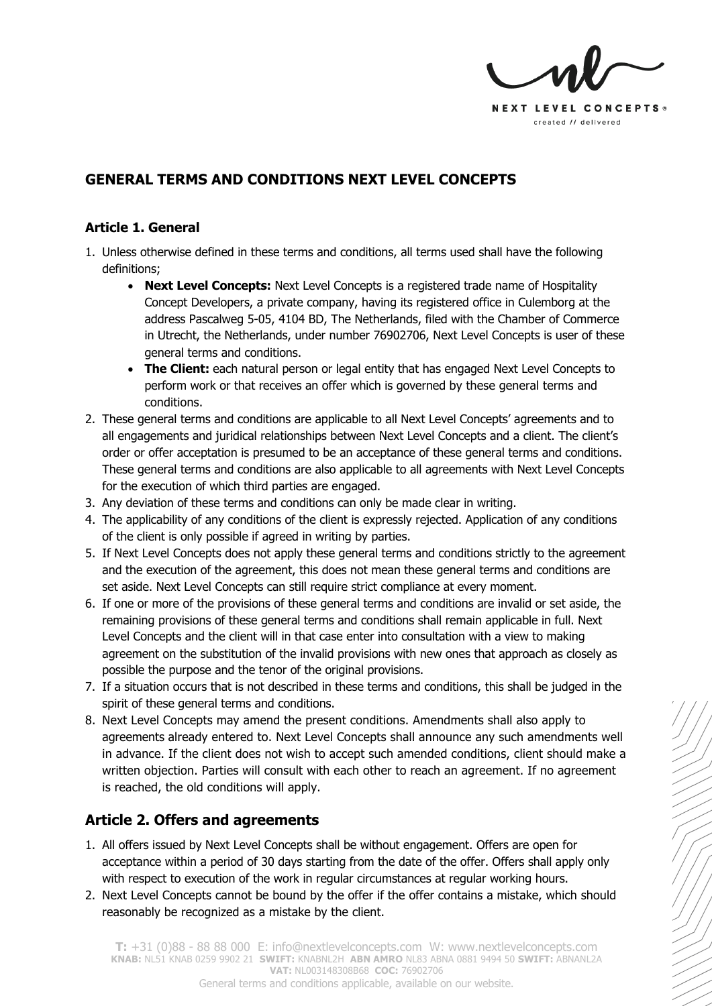

## **GENERAL TERMS AND CONDITIONS NEXT LEVEL CONCEPTS**

#### **Article 1. General**

- 1. Unless otherwise defined in these terms and conditions, all terms used shall have the following definitions;
	- **Next Level Concepts:** Next Level Concepts is a registered trade name of Hospitality Concept Developers, a private company, having its registered office in Culemborg at the address Pascalweg 5-05, 4104 BD, The Netherlands, filed with the Chamber of Commerce in Utrecht, the Netherlands, under number 76902706, Next Level Concepts is user of these general terms and conditions.
	- **The Client:** each natural person or legal entity that has engaged Next Level Concepts to perform work or that receives an offer which is governed by these general terms and conditions.
- 2. These general terms and conditions are applicable to all Next Level Concepts' agreements and to all engagements and juridical relationships between Next Level Concepts and a client. The client's order or offer acceptation is presumed to be an acceptance of these general terms and conditions. These general terms and conditions are also applicable to all agreements with Next Level Concepts for the execution of which third parties are engaged.
- 3. Any deviation of these terms and conditions can only be made clear in writing.
- 4. The applicability of any conditions of the client is expressly rejected. Application of any conditions of the client is only possible if agreed in writing by parties.
- 5. If Next Level Concepts does not apply these general terms and conditions strictly to the agreement and the execution of the agreement, this does not mean these general terms and conditions are set aside. Next Level Concepts can still require strict compliance at every moment.
- 6. If one or more of the provisions of these general terms and conditions are invalid or set aside, the remaining provisions of these general terms and conditions shall remain applicable in full. Next Level Concepts and the client will in that case enter into consultation with a view to making agreement on the substitution of the invalid provisions with new ones that approach as closely as possible the purpose and the tenor of the original provisions.
- 7. If a situation occurs that is not described in these terms and conditions, this shall be judged in the spirit of these general terms and conditions.
- 8. Next Level Concepts may amend the present conditions. Amendments shall also apply to agreements already entered to. Next Level Concepts shall announce any such amendments well in advance. If the client does not wish to accept such amended conditions, client should make a written objection. Parties will consult with each other to reach an agreement. If no agreement is reached, the old conditions will apply.

# **Article 2. Offers and agreements**

- 1. All offers issued by Next Level Concepts shall be without engagement. Offers are open for acceptance within a period of 30 days starting from the date of the offer. Offers shall apply only with respect to execution of the work in regular circumstances at regular working hours.
- 2. Next Level Concepts cannot be bound by the offer if the offer contains a mistake, which should reasonably be recognized as a mistake by the client.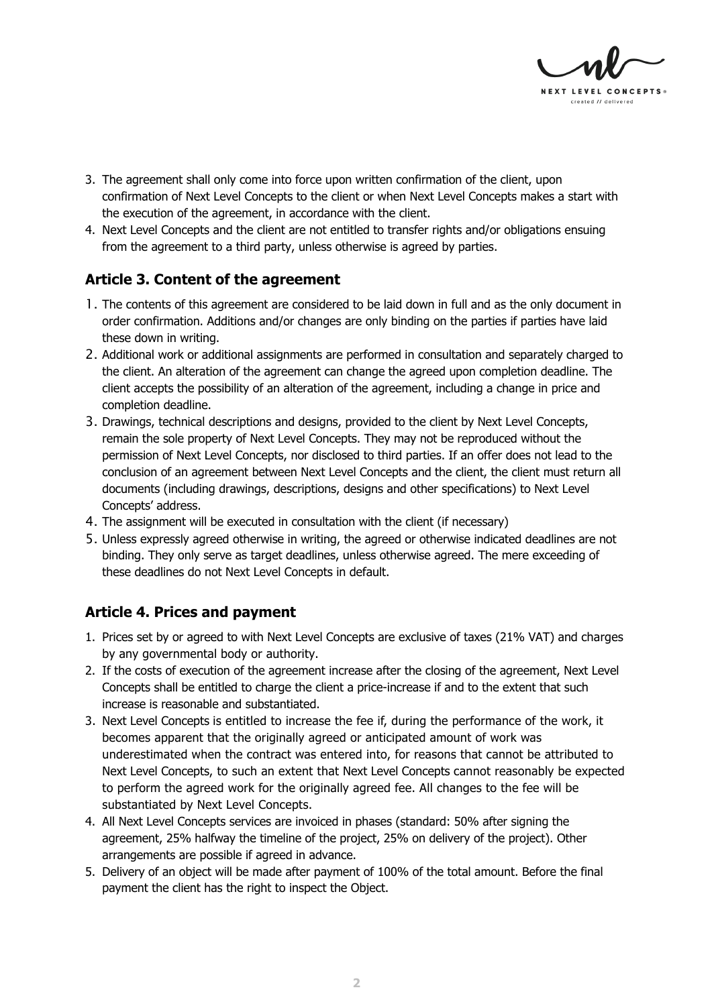

- 3. The agreement shall only come into force upon written confirmation of the client, upon confirmation of Next Level Concepts to the client or when Next Level Concepts makes a start with the execution of the agreement, in accordance with the client.
- 4. Next Level Concepts and the client are not entitled to transfer rights and/or obligations ensuing from the agreement to a third party, unless otherwise is agreed by parties.

## **Article 3. Content of the agreement**

- 1. The contents of this agreement are considered to be laid down in full and as the only document in order confirmation. Additions and/or changes are only binding on the parties if parties have laid these down in writing.
- 2. Additional work or additional assignments are performed in consultation and separately charged to the client. An alteration of the agreement can change the agreed upon completion deadline. The client accepts the possibility of an alteration of the agreement, including a change in price and completion deadline.
- 3. Drawings, technical descriptions and designs, provided to the client by Next Level Concepts, remain the sole property of Next Level Concepts. They may not be reproduced without the permission of Next Level Concepts, nor disclosed to third parties. If an offer does not lead to the conclusion of an agreement between Next Level Concepts and the client, the client must return all documents (including drawings, descriptions, designs and other specifications) to Next Level Concepts' address.
- 4. The assignment will be executed in consultation with the client (if necessary)
- 5. Unless expressly agreed otherwise in writing, the agreed or otherwise indicated deadlines are not binding. They only serve as target deadlines, unless otherwise agreed. The mere exceeding of these deadlines do not Next Level Concepts in default.

## **Article 4. Prices and payment**

- 1. Prices set by or agreed to with Next Level Concepts are exclusive of taxes (21% VAT) and charges by any governmental body or authority.
- 2. If the costs of execution of the agreement increase after the closing of the agreement, Next Level Concepts shall be entitled to charge the client a price-increase if and to the extent that such increase is reasonable and substantiated.
- 3. Next Level Concepts is entitled to increase the fee if, during the performance of the work, it becomes apparent that the originally agreed or anticipated amount of work was underestimated when the contract was entered into, for reasons that cannot be attributed to Next Level Concepts, to such an extent that Next Level Concepts cannot reasonably be expected to perform the agreed work for the originally agreed fee. All changes to the fee will be substantiated by Next Level Concepts.
- 4. All Next Level Concepts services are invoiced in phases (standard: 50% after signing the agreement, 25% halfway the timeline of the project, 25% on delivery of the project). Other arrangements are possible if agreed in advance.
- 5. Delivery of an object will be made after payment of 100% of the total amount. Before the final payment the client has the right to inspect the Object.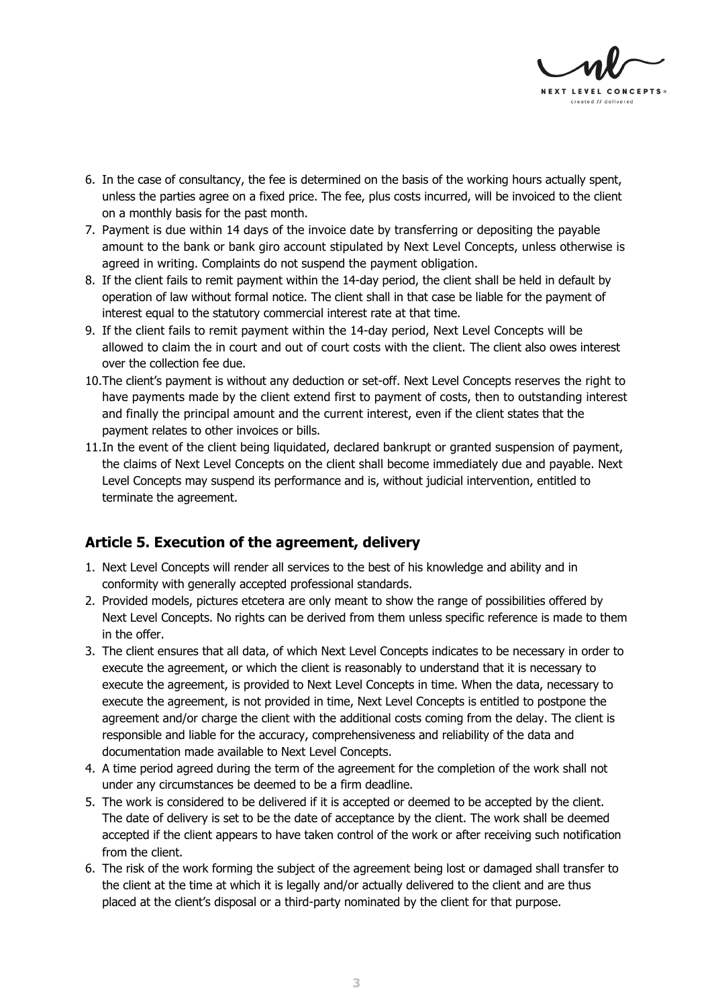

- 6. In the case of consultancy, the fee is determined on the basis of the working hours actually spent, unless the parties agree on a fixed price. The fee, plus costs incurred, will be invoiced to the client on a monthly basis for the past month.
- 7. Payment is due within 14 days of the invoice date by transferring or depositing the payable amount to the bank or bank giro account stipulated by Next Level Concepts, unless otherwise is agreed in writing. Complaints do not suspend the payment obligation.
- 8. If the client fails to remit payment within the 14-day period, the client shall be held in default by operation of law without formal notice. The client shall in that case be liable for the payment of interest equal to the statutory commercial interest rate at that time.
- 9. If the client fails to remit payment within the 14-day period, Next Level Concepts will be allowed to claim the in court and out of court costs with the client. The client also owes interest over the collection fee due.
- 10.The client's payment is without any deduction or set-off. Next Level Concepts reserves the right to have payments made by the client extend first to payment of costs, then to outstanding interest and finally the principal amount and the current interest, even if the client states that the payment relates to other invoices or bills.
- 11.In the event of the client being liquidated, declared bankrupt or granted suspension of payment, the claims of Next Level Concepts on the client shall become immediately due and payable. Next Level Concepts may suspend its performance and is, without judicial intervention, entitled to terminate the agreement.

## **Article 5. Execution of the agreement, delivery**

- 1. Next Level Concepts will render all services to the best of his knowledge and ability and in conformity with generally accepted professional standards.
- 2. Provided models, pictures etcetera are only meant to show the range of possibilities offered by Next Level Concepts. No rights can be derived from them unless specific reference is made to them in the offer.
- 3. The client ensures that all data, of which Next Level Concepts indicates to be necessary in order to execute the agreement, or which the client is reasonably to understand that it is necessary to execute the agreement, is provided to Next Level Concepts in time. When the data, necessary to execute the agreement, is not provided in time, Next Level Concepts is entitled to postpone the agreement and/or charge the client with the additional costs coming from the delay. The client is responsible and liable for the accuracy, comprehensiveness and reliability of the data and documentation made available to Next Level Concepts.
- 4. A time period agreed during the term of the agreement for the completion of the work shall not under any circumstances be deemed to be a firm deadline.
- 5. The work is considered to be delivered if it is accepted or deemed to be accepted by the client. The date of delivery is set to be the date of acceptance by the client. The work shall be deemed accepted if the client appears to have taken control of the work or after receiving such notification from the client.
- 6. The risk of the work forming the subject of the agreement being lost or damaged shall transfer to the client at the time at which it is legally and/or actually delivered to the client and are thus placed at the client's disposal or a third-party nominated by the client for that purpose.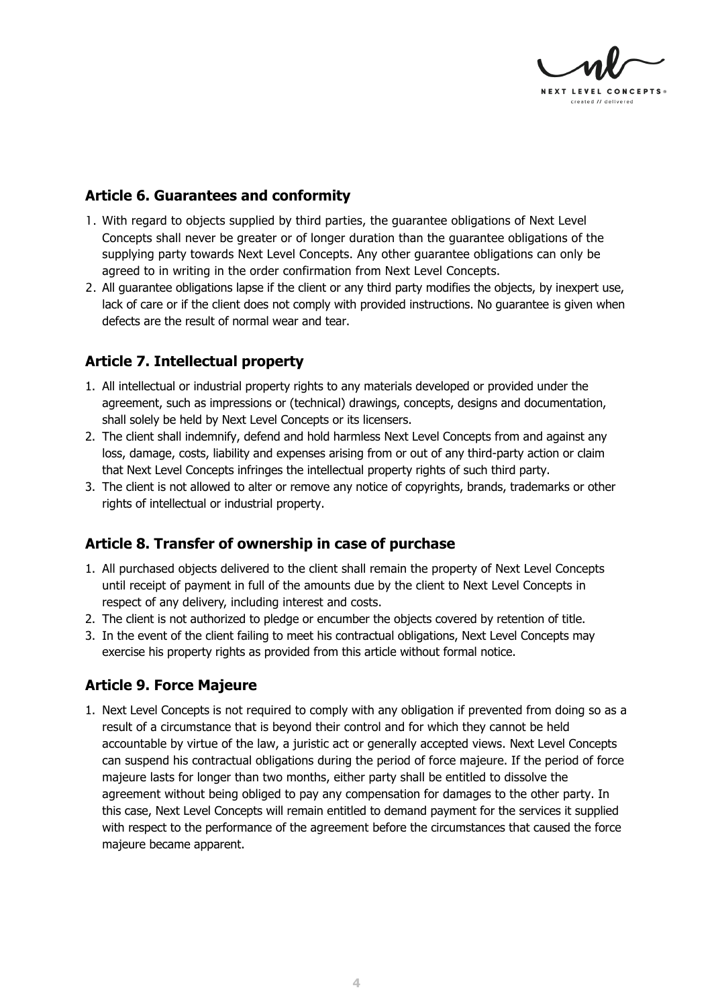

## **Article 6. Guarantees and conformity**

- 1. With regard to objects supplied by third parties, the guarantee obligations of Next Level Concepts shall never be greater or of longer duration than the guarantee obligations of the supplying party towards Next Level Concepts. Any other guarantee obligations can only be agreed to in writing in the order confirmation from Next Level Concepts.
- 2. All guarantee obligations lapse if the client or any third party modifies the objects, by inexpert use, lack of care or if the client does not comply with provided instructions. No guarantee is given when defects are the result of normal wear and tear.

## **Article 7. Intellectual property**

- 1. All intellectual or industrial property rights to any materials developed or provided under the agreement, such as impressions or (technical) drawings, concepts, designs and documentation, shall solely be held by Next Level Concepts or its licensers.
- 2. The client shall indemnify, defend and hold harmless Next Level Concepts from and against any loss, damage, costs, liability and expenses arising from or out of any third-party action or claim that Next Level Concepts infringes the intellectual property rights of such third party.
- 3. The client is not allowed to alter or remove any notice of copyrights, brands, trademarks or other rights of intellectual or industrial property.

#### **Article 8. Transfer of ownership in case of purchase**

- 1. All purchased objects delivered to the client shall remain the property of Next Level Concepts until receipt of payment in full of the amounts due by the client to Next Level Concepts in respect of any delivery, including interest and costs.
- 2. The client is not authorized to pledge or encumber the objects covered by retention of title.
- 3. In the event of the client failing to meet his contractual obligations, Next Level Concepts may exercise his property rights as provided from this article without formal notice.

## **Article 9. Force Majeure**

1. Next Level Concepts is not required to comply with any obligation if prevented from doing so as a result of a circumstance that is beyond their control and for which they cannot be held accountable by virtue of the law, a juristic act or generally accepted views. Next Level Concepts can suspend his contractual obligations during the period of force majeure. If the period of force majeure lasts for longer than two months, either party shall be entitled to dissolve the agreement without being obliged to pay any compensation for damages to the other party. In this case, Next Level Concepts will remain entitled to demand payment for the services it supplied with respect to the performance of the agreement before the circumstances that caused the force majeure became apparent.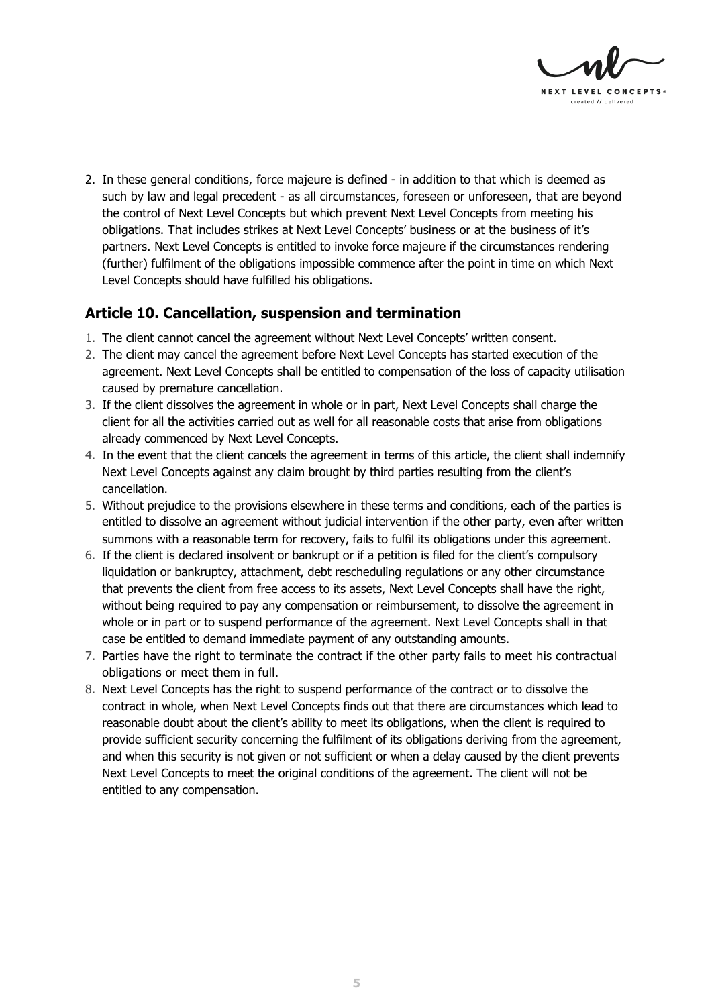

2. In these general conditions, force majeure is defined - in addition to that which is deemed as such by law and legal precedent - as all circumstances, foreseen or unforeseen, that are beyond the control of Next Level Concepts but which prevent Next Level Concepts from meeting his obligations. That includes strikes at Next Level Concepts' business or at the business of it's partners. Next Level Concepts is entitled to invoke force majeure if the circumstances rendering (further) fulfilment of the obligations impossible commence after the point in time on which Next Level Concepts should have fulfilled his obligations.

#### **Article 10. Cancellation, suspension and termination**

- 1. The client cannot cancel the agreement without Next Level Concepts' written consent.
- 2. The client may cancel the agreement before Next Level Concepts has started execution of the agreement. Next Level Concepts shall be entitled to compensation of the loss of capacity utilisation caused by premature cancellation.
- 3. If the client dissolves the agreement in whole or in part, Next Level Concepts shall charge the client for all the activities carried out as well for all reasonable costs that arise from obligations already commenced by Next Level Concepts.
- 4. In the event that the client cancels the agreement in terms of this article, the client shall indemnify Next Level Concepts against any claim brought by third parties resulting from the client's cancellation.
- 5. Without prejudice to the provisions elsewhere in these terms and conditions, each of the parties is entitled to dissolve an agreement without judicial intervention if the other party, even after written summons with a reasonable term for recovery, fails to fulfil its obligations under this agreement.
- 6. If the client is declared insolvent or bankrupt or if a petition is filed for the client's compulsory liquidation or bankruptcy, attachment, debt rescheduling regulations or any other circumstance that prevents the client from free access to its assets, Next Level Concepts shall have the right, without being required to pay any compensation or reimbursement, to dissolve the agreement in whole or in part or to suspend performance of the agreement. Next Level Concepts shall in that case be entitled to demand immediate payment of any outstanding amounts.
- 7. Parties have the right to terminate the contract if the other party fails to meet his contractual obligations or meet them in full.
- 8. Next Level Concepts has the right to suspend performance of the contract or to dissolve the contract in whole, when Next Level Concepts finds out that there are circumstances which lead to reasonable doubt about the client's ability to meet its obligations, when the client is required to provide sufficient security concerning the fulfilment of its obligations deriving from the agreement, and when this security is not given or not sufficient or when a delay caused by the client prevents Next Level Concepts to meet the original conditions of the agreement. The client will not be entitled to any compensation.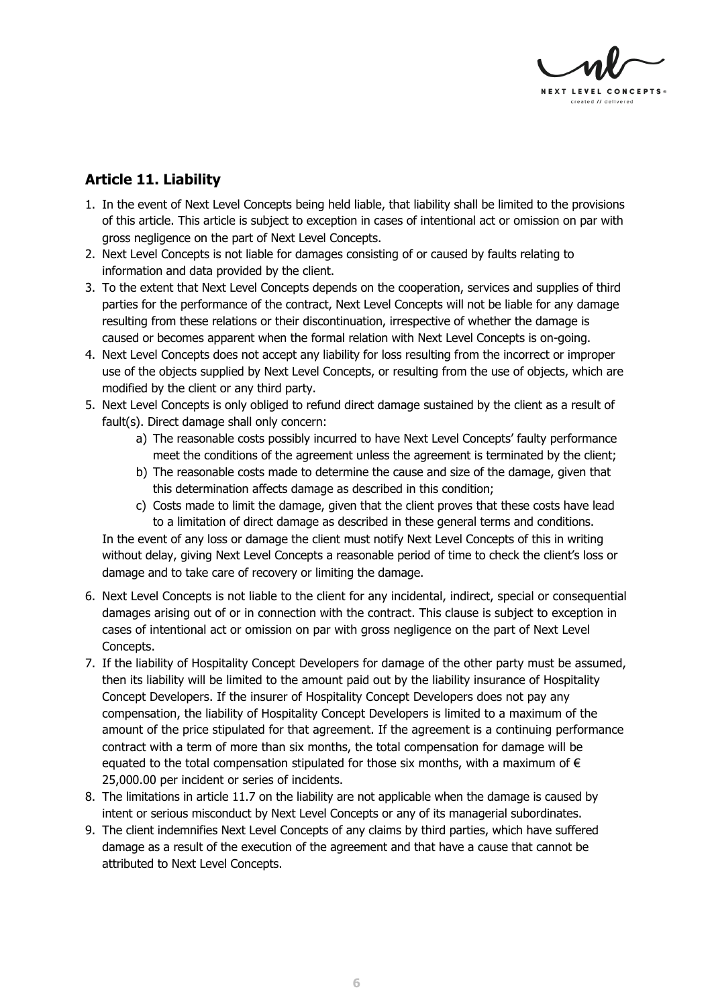

# **Article 11. Liability**

- 1. In the event of Next Level Concepts being held liable, that liability shall be limited to the provisions of this article. This article is subject to exception in cases of intentional act or omission on par with gross negligence on the part of Next Level Concepts.
- 2. Next Level Concepts is not liable for damages consisting of or caused by faults relating to information and data provided by the client.
- 3. To the extent that Next Level Concepts depends on the cooperation, services and supplies of third parties for the performance of the contract, Next Level Concepts will not be liable for any damage resulting from these relations or their discontinuation, irrespective of whether the damage is caused or becomes apparent when the formal relation with Next Level Concepts is on-going.
- 4. Next Level Concepts does not accept any liability for loss resulting from the incorrect or improper use of the objects supplied by Next Level Concepts, or resulting from the use of objects, which are modified by the client or any third party.
- 5. Next Level Concepts is only obliged to refund direct damage sustained by the client as a result of fault(s). Direct damage shall only concern:
	- a) The reasonable costs possibly incurred to have Next Level Concepts' faulty performance meet the conditions of the agreement unless the agreement is terminated by the client;
	- b) The reasonable costs made to determine the cause and size of the damage, given that this determination affects damage as described in this condition;
	- c) Costs made to limit the damage, given that the client proves that these costs have lead to a limitation of direct damage as described in these general terms and conditions.

In the event of any loss or damage the client must notify Next Level Concepts of this in writing without delay, giving Next Level Concepts a reasonable period of time to check the client's loss or damage and to take care of recovery or limiting the damage.

- 6. Next Level Concepts is not liable to the client for any incidental, indirect, special or consequential damages arising out of or in connection with the contract. This clause is subject to exception in cases of intentional act or omission on par with gross negligence on the part of Next Level Concepts.
- 7. If the liability of Hospitality Concept Developers for damage of the other party must be assumed, then its liability will be limited to the amount paid out by the liability insurance of Hospitality Concept Developers. If the insurer of Hospitality Concept Developers does not pay any compensation, the liability of Hospitality Concept Developers is limited to a maximum of the amount of the price stipulated for that agreement. If the agreement is a continuing performance contract with a term of more than six months, the total compensation for damage will be equated to the total compensation stipulated for those six months, with a maximum of  $\epsilon$ 25,000.00 per incident or series of incidents.
- 8. The limitations in article 11.7 on the liability are not applicable when the damage is caused by intent or serious misconduct by Next Level Concepts or any of its managerial subordinates.
- 9. The client indemnifies Next Level Concepts of any claims by third parties, which have suffered damage as a result of the execution of the agreement and that have a cause that cannot be attributed to Next Level Concepts.